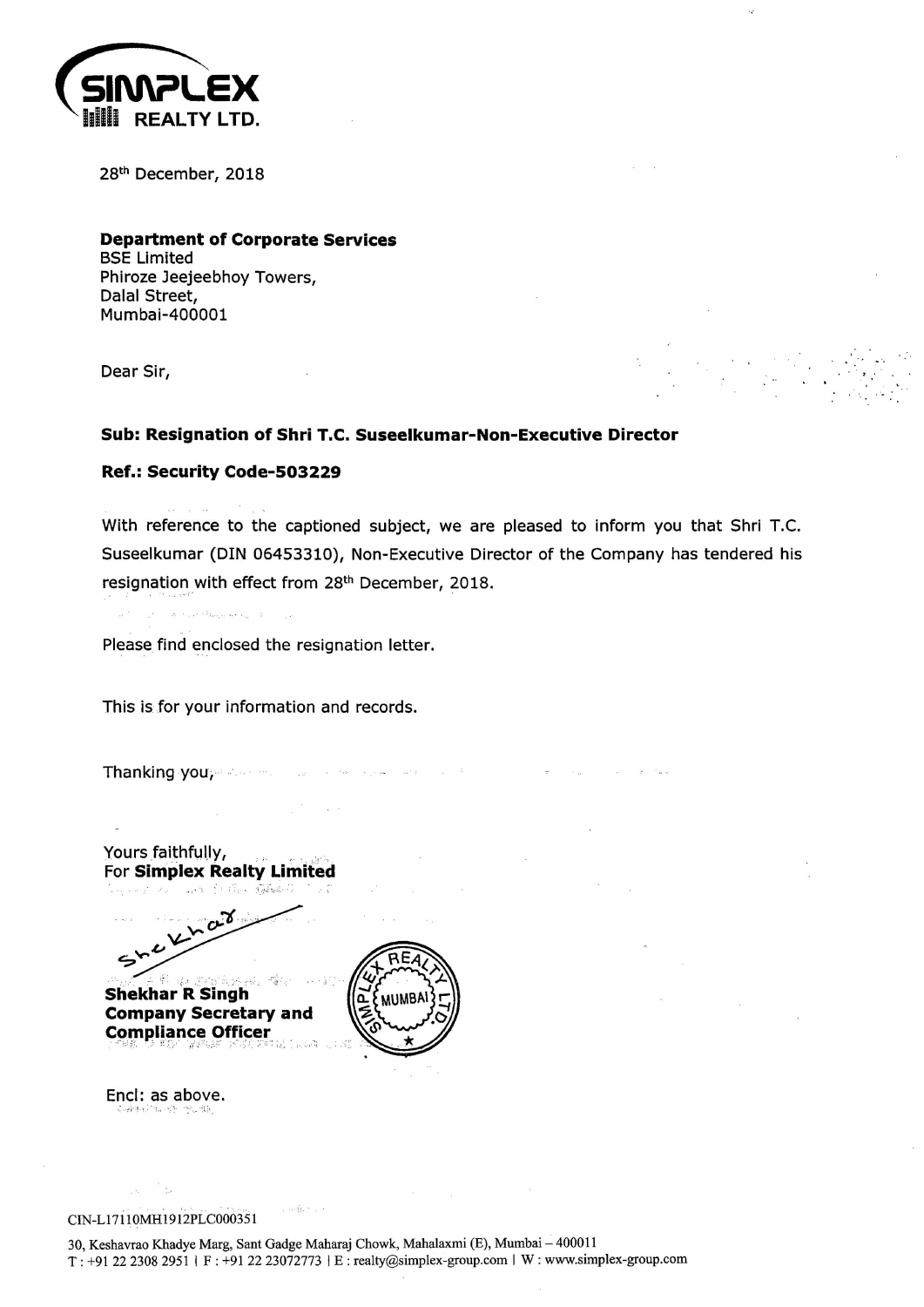

28th December, 2018

**Department of Corporate Services**  BSE Limited Phiroze Jeejeebhoy Towers, Dalal Street, Mumbai-400001

Dear Sir,

## **Sub: Resignation of Shri T.C. Suseelkumar-Non-Executive Director**

**Ref.: Security Code-503229** 

With reference to the captioned subject, we are pleased to inform you that Shri T.C. Suseelkumar (DIN 06453310), Non-Executive Director of the Company has tendered his resignation with effect from 28<sup>th</sup> December, 2018.

 $\label{eq:12} \left\| \mathbf{X} \right\| = \left\| \mathbf{X}_{\text{max}} \right\| \leq \frac{1}{2} \sum_{\text{max of } \mathbf{X} \in \mathcal{X}_{\text{max}}} \left\| \mathbf{X}_{\text{max}} \right\| \leq \frac{1}{2}.$ 

Please find enclosed the resignation letter.

This is for your information and records.

Thanking you; a state of the state of the state of the state of the state of the state of the state of the state of the state of the state of the state of the state of the state of the state of the state of the state of th

Yours faithfully, **For Simplex Realty Limited** art follow tables

.· ..... *·~'1 ,.,*  $\mathcal{L}$  $2.5$ **Shekhar R Singh** 

**Company Secretary and Compliance Officer** 



 $\kappa$  person  $\sim 10^{11}$  km

Encl: as above.

. ' ' · ·. . . ·: ·- .. . CIN-Ll7110MH1912PLC000351

Lingue Lo